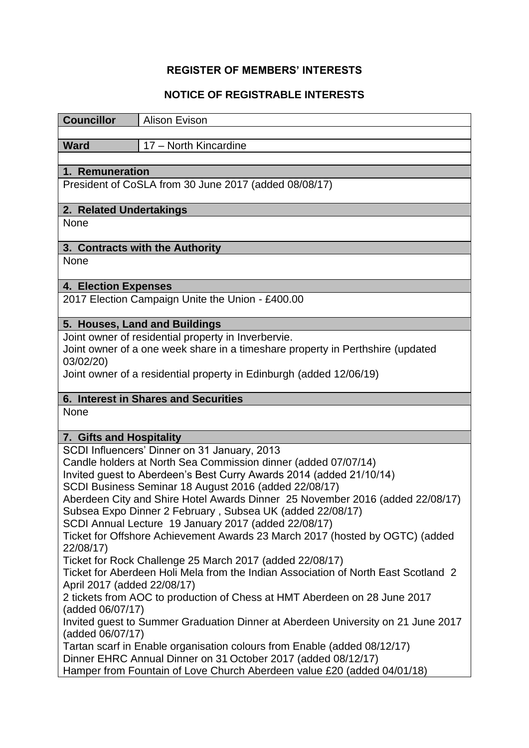## **REGISTER OF MEMBERS' INTERESTS**

## **NOTICE OF REGISTRABLE INTERESTS**

| <b>Councillor</b>                                                                                                                     | <b>Alison Evison</b>                                                    |  |
|---------------------------------------------------------------------------------------------------------------------------------------|-------------------------------------------------------------------------|--|
| <b>Ward</b>                                                                                                                           | 17 - North Kincardine                                                   |  |
|                                                                                                                                       |                                                                         |  |
| 1. Remuneration                                                                                                                       |                                                                         |  |
| President of CoSLA from 30 June 2017 (added 08/08/17)                                                                                 |                                                                         |  |
| 2. Related Undertakings                                                                                                               |                                                                         |  |
| None                                                                                                                                  |                                                                         |  |
| 3. Contracts with the Authority                                                                                                       |                                                                         |  |
| None                                                                                                                                  |                                                                         |  |
| 4. Election Expenses                                                                                                                  |                                                                         |  |
| 2017 Election Campaign Unite the Union - £400.00                                                                                      |                                                                         |  |
| 5. Houses, Land and Buildings                                                                                                         |                                                                         |  |
| Joint owner of residential property in Inverbervie.                                                                                   |                                                                         |  |
| Joint owner of a one week share in a timeshare property in Perthshire (updated<br>03/02/20)                                           |                                                                         |  |
| Joint owner of a residential property in Edinburgh (added 12/06/19)                                                                   |                                                                         |  |
|                                                                                                                                       |                                                                         |  |
| 6. Interest in Shares and Securities                                                                                                  |                                                                         |  |
| None                                                                                                                                  |                                                                         |  |
| 7. Gifts and Hospitality                                                                                                              |                                                                         |  |
| SCDI Influencers' Dinner on 31 January, 2013                                                                                          |                                                                         |  |
| Candle holders at North Sea Commission dinner (added 07/07/14)<br>Invited guest to Aberdeen's Best Curry Awards 2014 (added 21/10/14) |                                                                         |  |
| SCDI Business Seminar 18 August 2016 (added 22/08/17)                                                                                 |                                                                         |  |
| Aberdeen City and Shire Hotel Awards Dinner 25 November 2016 (added 22/08/17)                                                         |                                                                         |  |
|                                                                                                                                       | Subsea Expo Dinner 2 February, Subsea UK (added 22/08/17)               |  |
|                                                                                                                                       | SCDI Annual Lecture 19 January 2017 (added 22/08/17)                    |  |
| Ticket for Offshore Achievement Awards 23 March 2017 (hosted by OGTC) (added<br>22/08/17)                                             |                                                                         |  |
| Ticket for Rock Challenge 25 March 2017 (added 22/08/17)                                                                              |                                                                         |  |
| Ticket for Aberdeen Holi Mela from the Indian Association of North East Scotland 2                                                    |                                                                         |  |
| April 2017 (added 22/08/17)                                                                                                           |                                                                         |  |
| 2 tickets from AOC to production of Chess at HMT Aberdeen on 28 June 2017<br>(added 06/07/17)                                         |                                                                         |  |
| Invited guest to Summer Graduation Dinner at Aberdeen University on 21 June 2017<br>(added 06/07/17)                                  |                                                                         |  |
| Tartan scarf in Enable organisation colours from Enable (added 08/12/17)                                                              |                                                                         |  |
| Dinner EHRC Annual Dinner on 31 October 2017 (added 08/12/17)                                                                         |                                                                         |  |
|                                                                                                                                       | Hamper from Fountain of Love Church Aberdeen value £20 (added 04/01/18) |  |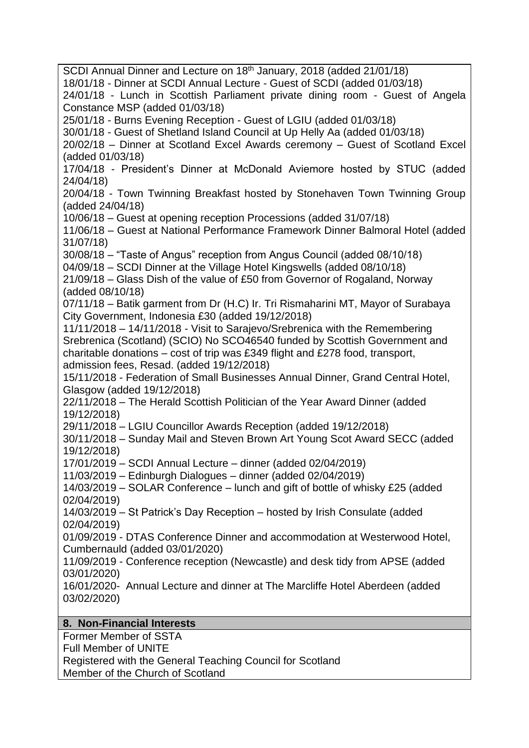SCDI Annual Dinner and Lecture on 18<sup>th</sup> January, 2018 (added 21/01/18) 18/01/18 - Dinner at SCDI Annual Lecture - Guest of SCDI (added 01/03/18) 24/01/18 - Lunch in Scottish Parliament private dining room - Guest of Angela Constance MSP (added 01/03/18) 25/01/18 - Burns Evening Reception - Guest of LGIU (added 01/03/18) 30/01/18 - Guest of Shetland Island Council at Up Helly Aa (added 01/03/18) 20/02/18 – Dinner at Scotland Excel Awards ceremony – Guest of Scotland Excel (added 01/03/18) 17/04/18 - President's Dinner at McDonald Aviemore hosted by STUC (added 24/04/18) 20/04/18 - Town Twinning Breakfast hosted by Stonehaven Town Twinning Group (added 24/04/18) 10/06/18 – Guest at opening reception Processions (added 31/07/18) 11/06/18 – Guest at National Performance Framework Dinner Balmoral Hotel (added 31/07/18) 30/08/18 – "Taste of Angus" reception from Angus Council (added 08/10/18) 04/09/18 – SCDI Dinner at the Village Hotel Kingswells (added 08/10/18) 21/09/18 – Glass Dish of the value of £50 from Governor of Rogaland, Norway (added 08/10/18) 07/11/18 – Batik garment from Dr (H.C) Ir. Tri Rismaharini MT, Mayor of Surabaya City Government, Indonesia £30 (added 19/12/2018) 11/11/2018 – 14/11/2018 - Visit to Sarajevo/Srebrenica with the Remembering Srebrenica (Scotland) (SCIO) No SCO46540 funded by Scottish Government and charitable donations – cost of trip was £349 flight and £278 food, transport, admission fees, Resad. (added 19/12/2018) 15/11/2018 - Federation of Small Businesses Annual Dinner, Grand Central Hotel, Glasgow (added 19/12/2018) 22/11/2018 – The Herald Scottish Politician of the Year Award Dinner (added 19/12/2018) 29/11/2018 – LGIU Councillor Awards Reception (added 19/12/2018) 30/11/2018 – Sunday Mail and Steven Brown Art Young Scot Award SECC (added 19/12/2018) 17/01/2019 – SCDI Annual Lecture – dinner (added 02/04/2019) 11/03/2019 – Edinburgh Dialogues – dinner (added 02/04/2019) 14/03/2019 – SOLAR Conference – lunch and gift of bottle of whisky £25 (added 02/04/2019) 14/03/2019 – St Patrick's Day Reception – hosted by Irish Consulate (added 02/04/2019) 01/09/2019 - DTAS Conference Dinner and accommodation at Westerwood Hotel, Cumbernauld (added 03/01/2020) 11/09/2019 - Conference reception (Newcastle) and desk tidy from APSE (added 03/01/2020) 16/01/2020- Annual Lecture and dinner at The Marcliffe Hotel Aberdeen (added 03/02/2020) **8. Non-Financial Interests** Former Member of SSTA

Full Member of UNITE

Registered with the General Teaching Council for Scotland Member of the Church of Scotland